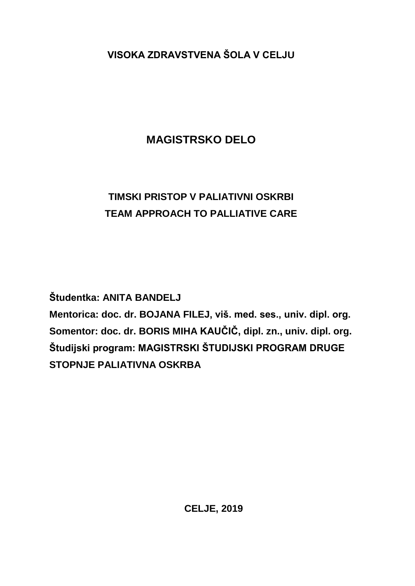**VISOKA ZDRAVSTVENA ŠOLA V CELJU**

## **MAGISTRSKO DELO**

## **TIMSKI PRISTOP V PALIATIVNI OSKRBI TEAM APPROACH TO PALLIATIVE CARE**

**Študentka: ANITA BANDELJ**

**Mentorica: doc. dr. BOJANA FILEJ, viš. med. ses., univ. dipl. org. Somentor: doc. dr. BORIS MIHA KAUČIČ, dipl. zn., univ. dipl. org. Študijski program: MAGISTRSKI ŠTUDIJSKI PROGRAM DRUGE STOPNJE PALIATIVNA OSKRBA**

**CELJE, 2019**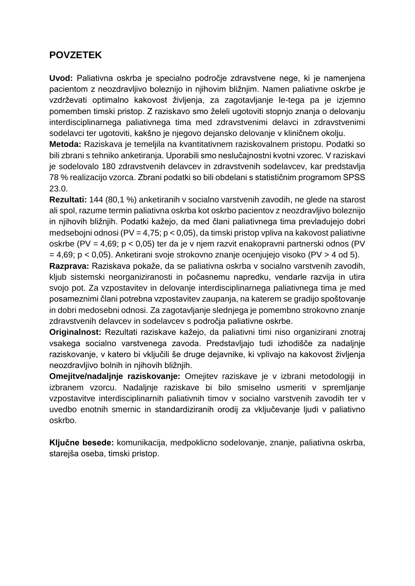## **POVZETEK**

**Uvod:** Paliativna oskrba je specialno področje zdravstvene nege, ki je namenjena pacientom z neozdravljivo boleznijo in njihovim bližnjim. Namen paliativne oskrbe je vzdrževati optimalno kakovost življenja, za zagotavljanje le-tega pa je izjemno pomemben timski pristop. Z raziskavo smo želeli ugotoviti stopnjo znanja o delovanju interdisciplinarnega paliativnega tima med zdravstvenimi delavci in zdravstvenimi sodelavci ter ugotoviti, kakšno je njegovo dejansko delovanje v kliničnem okolju.

**Metoda:** Raziskava je temeljila na kvantitativnem raziskovalnem pristopu. Podatki so bili zbrani s tehniko anketiranja. Uporabili smo neslučajnostni kvotni vzorec. V raziskavi je sodelovalo 180 zdravstvenih delavcev in zdravstvenih sodelavcev, kar predstavlja 78 % realizacijo vzorca. Zbrani podatki so bili obdelani s statističnim programom SPSS 23.0.

**Rezultati:** 144 (80,1 %) anketiranih v socialno varstvenih zavodih, ne glede na starost ali spol, razume termin paliativna oskrba kot oskrbo pacientov z neozdravljivo boleznijo in njihovih bližnjih. Podatki kažejo, da med člani paliativnega tima prevladujejo dobri medsebojni odnosi (PV = 4,75;  $p < 0.05$ ), da timski pristop vpliva na kakovost paliativne oskrbe (PV = 4,69; p < 0,05) ter da je v njem razvit enakopravni partnerski odnos (PV = 4,69; p < 0,05). Anketirani svoje strokovno znanje ocenjujejo visoko (PV > 4 od 5).

**Razprava:** Raziskava pokaže, da se paliativna oskrba v socialno varstvenih zavodih, kljub sistemski neorganiziranosti in počasnemu napredku, vendarle razvija in utira svojo pot. Za vzpostavitev in delovanje interdisciplinarnega paliativnega tima je med posameznimi člani potrebna vzpostavitev zaupanja, na katerem se gradijo spoštovanje in dobri medosebni odnosi. Za zagotavljanje slednjega je pomembno strokovno znanje zdravstvenih delavcev in sodelavcev s področja paliativne oskrbe.

**Originalnost:** Rezultati raziskave kažejo, da paliativni timi niso organizirani znotraj vsakega socialno varstvenega zavoda. Predstavljajo tudi izhodišče za nadaljnje raziskovanje, v katero bi vključili še druge dejavnike, ki vplivajo na kakovost življenja neozdravljivo bolnih in njihovih bližnjih.

**Omejitve/nadaljnje raziskovanje:** Omejitev raziskave je v izbrani metodologiji in izbranem vzorcu. Nadaljnje raziskave bi bilo smiselno usmeriti v spremljanje vzpostavitve interdisciplinarnih paliativnih timov v socialno varstvenih zavodih ter v uvedbo enotnih smernic in standardiziranih orodij za vključevanje ljudi v paliativno oskrbo.

**Ključne besede:** komunikacija, medpoklicno sodelovanje, znanje, paliativna oskrba, starejša oseba, timski pristop.